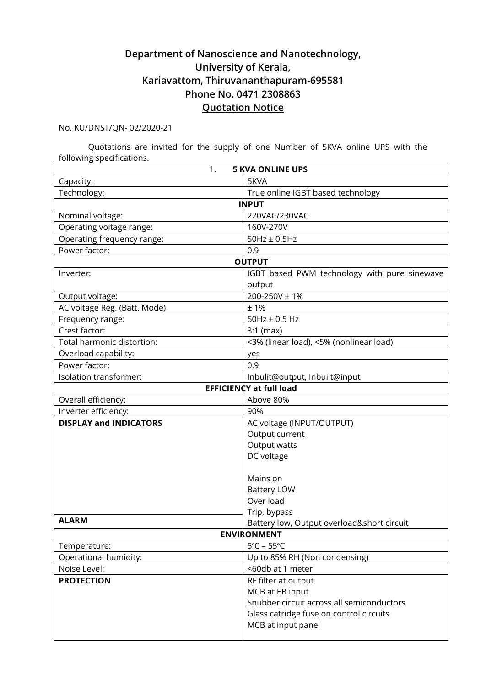## **Department of Nanoscience and Nanotechnology, University of Kerala, Kariavattom, Thiruvananthapuram-695581 Phone No. 0471 2308863 Quotation Notice**

No. KU/DNST/QN- 02/2020-21

Quotations are invited for the supply of one Number of 5KVA online UPS with the following specifications.

|                               | 1.<br><b>5 KVA ONLINE UPS</b>                |
|-------------------------------|----------------------------------------------|
| Capacity:                     | 5KVA                                         |
| Technology:                   | True online IGBT based technology            |
|                               | <b>INPUT</b>                                 |
| Nominal voltage:              | 220VAC/230VAC                                |
| Operating voltage range:      | 160V-270V                                    |
| Operating frequency range:    | $50Hz \pm 0.5Hz$                             |
| Power factor:                 | 0.9                                          |
|                               | <b>OUTPUT</b>                                |
| Inverter:                     | IGBT based PWM technology with pure sinewave |
|                               | output                                       |
| Output voltage:               | 200-250V ± 1%                                |
| AC voltage Reg. (Batt. Mode)  | ±1%                                          |
| Frequency range:              | $50$ Hz $\pm$ 0.5 Hz                         |
| Crest factor:                 | $3:1$ (max)                                  |
| Total harmonic distortion:    | <3% (linear load), <5% (nonlinear load)      |
| Overload capability:          | yes                                          |
| Power factor:                 | 0.9                                          |
| Isolation transformer:        | Inbulit@output, Inbuilt@input                |
|                               | <b>EFFICIENCY at full load</b>               |
| Overall efficiency:           | Above 80%                                    |
| Inverter efficiency:          | 90%                                          |
| <b>DISPLAY and INDICATORS</b> | AC voltage (INPUT/OUTPUT)                    |
|                               | Output current                               |
|                               | Output watts                                 |
|                               | DC voltage                                   |
|                               |                                              |
|                               | Mains on                                     |
|                               | <b>Battery LOW</b>                           |
|                               | Over load                                    |
|                               | Trip, bypass                                 |
| <b>ALARM</b>                  | Battery low, Output overload&short circuit   |
|                               | <b>ENVIRONMENT</b>                           |
| Temperature:                  | $5^{\circ}$ C – 55 $^{\circ}$ C              |
| Operational humidity:         | Up to 85% RH (Non condensing)                |
| Noise Level:                  | <60db at 1 meter                             |
| <b>PROTECTION</b>             | RF filter at output                          |
|                               | MCB at EB input                              |
|                               | Snubber circuit across all semiconductors    |
|                               | Glass catridge fuse on control circuits      |
|                               | MCB at input panel                           |
|                               |                                              |